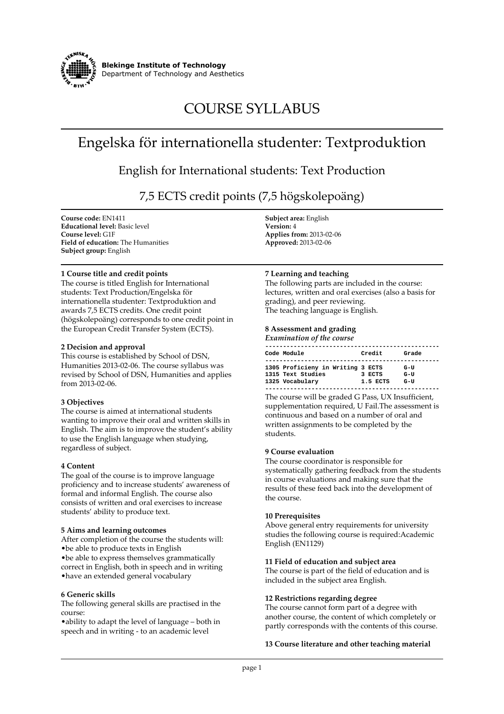

# **COURSE SYLLABUS**

## **Engelska för internationella studenter: Textproduktion**

**English for International students: Text Production**

**7,5 ECTS credit points (7,5 högskolepoäng)**

**Course code: EN1411 Educational level: Basic level Course level: G1F Field of education: The Humanities Subject group: English**

## **1 Course title and credit points**

**The course is titled English for International students: Text Production/Engelska för internationella studenter: Textproduktion and awards 7,5 ECTS credits. One credit point (högskolepoäng) corresponds to one credit point in the European Credit Transfer System (ECTS).**

## **2 Decision and approval**

**This course is established by School of DSN, Humanities 2013-02-06. The course syllabus was revised by School of DSN, Humanities and applies from 2013-02-06.**

## **3 Objectives**

**The course is aimed at international students wanting to improve their oral and written skills in English. The aim is to improve the student's ability to use the English language when studying, regardless of subject.**

## **4 Content**

**The goal of the course is to improve language proficiency and to increase students' awareness of formal and informal English. The course also consists of written and oral exercises to increase students' ability to produce text.**

## **5 Aims and learning outcomes**

**After completion of the course the students will: •be able to produce texts in English •be able to express themselves grammatically correct in English, both in speech and in writing •have an extended general vocabulary**

## **6 Generic skills**

**The following general skills are practised in the course:**

**•ability to adapt the level of language – both in speech and in writing - to an academic level**

**Subject area: English Version: 4 Applies from: 2013-02-06 Approved: 2013-02-06**

## **7 Learning and teaching**

**The following parts are included in the course: lectures, written and oral exercises (also a basis for grading), and peer reviewing. The teaching language is English.**

## **8 Assessment and grading**

| <b>Examination of the course</b>                                          |                    |                   |
|---------------------------------------------------------------------------|--------------------|-------------------|
| Code Module                                                               | Credit             | Grade             |
| 1305 Proficieny in Writing 3 ECTS<br>1315 Text Studies<br>1325 Vocabulary | 3 ECTS<br>1.5 ECTS | G-U<br>G-U<br>G-U |

**The course will be graded G Pass, UX Insufficient, supplementation required, U Fail.The assessment is continuous and based on a number of oral and written assignments to be completed by the students.**

## **9 Course evaluation**

**The course coordinator is responsible for systematically gathering feedback from the students in course evaluations and making sure that the results of these feed back into the development of the course.**

## **10 Prerequisites**

**Above general entry requirements for university studies the following course is required:Academic English (EN1129)**

## **11 Field of education and subject area**

**The course is part of the field of education and is included in the subject area English.**

## **12 Restrictions regarding degree**

**The course cannot form part of a degree with another course, the content of which completely or partly corresponds with the contents of this course.**

## **13 Course literature and other teaching material**